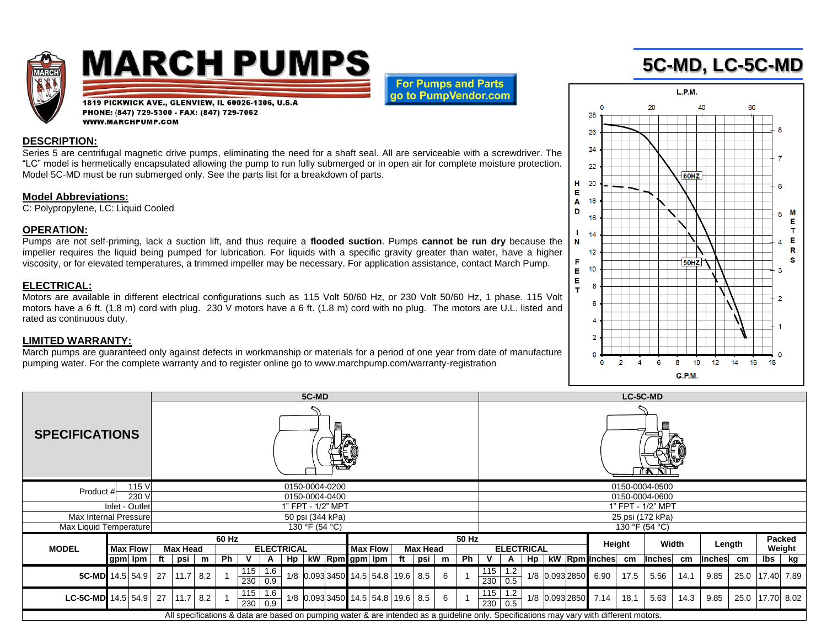

# **MARCH PUMPS**

**For Pumps and Parts** go to PumpVendor.com

#### 1819 PICKWICK AVE., GLENVIEW, IL 60026-1306, U.S.A PHONE: (847) 729-5300 - FAX: (847) 729-7062 **WWW.MARCHPUMP.COM**

#### **DESCRIPTION:**

Series 5 are centrifugal magnetic drive pumps, eliminating the need for a shaft seal. All are serviceable with a screwdriver. The "LC" model is hermetically encapsulated allowing the pump to run fully submerged or in open air for complete moisture protection. Model 5C-MD must be run submerged only. See the parts list for a breakdown of parts.

#### **Model Abbreviations:**

C: Polypropylene, LC: Liquid Cooled

#### **OPERATION:**

Pumps are not self-priming, lack a suction lift, and thus require a **flooded suction**. Pumps **cannot be run dry** because the impeller requires the liquid being pumped for lubrication. For liquids with a specific gravity greater than water, have a higher viscosity, or for elevated temperatures, a trimmed impeller may be necessary. For application assistance, contact March Pump.

### **ELECTRICAL:**

Motors are available in different electrical configurations such as 115 Volt 50/60 Hz, or 230 Volt 50/60 Hz, 1 phase. 115 Volt motors have a 6 ft. (1.8 m) cord with plug. 230 V motors have a 6 ft. (1.8 m) cord with no plug. The motors are U.L. listed and rated as continuous duty.

#### **LIMITED WARRANTY:**

March pumps are guaranteed only against defects in workmanship or materials for a period of one year from date of manufacture pumping water. For the complete warranty and to register online go to www.marchpump.com/warranty-registration

|                                 |              | 5C-MD                                         |                                                                                                                                         |    |                               |  |                                             |    |     |   |      |                                  | LC-5C-MD          |                |                |  |                     |      |        |      |               |      |                         |    |  |
|---------------------------------|--------------|-----------------------------------------------|-----------------------------------------------------------------------------------------------------------------------------------------|----|-------------------------------|--|---------------------------------------------|----|-----|---|------|----------------------------------|-------------------|----------------|----------------|--|---------------------|------|--------|------|---------------|------|-------------------------|----|--|
| <b>SPECIFICATIONS</b>           |              |                                               |                                                                                                                                         |    |                               |  |                                             |    |     |   | 10 P |                                  |                   |                |                |  |                     |      |        |      |               |      |                         |    |  |
| 115 V<br>Product #<br>230 V     |              | 0150-0004-0200<br>0150-0004-0400              |                                                                                                                                         |    |                               |  |                                             |    |     |   |      | 0150-0004-0500<br>0150-0004-0600 |                   |                |                |  |                     |      |        |      |               |      |                         |    |  |
| Inlet - Outlet                  |              | 1" FPT - 1/2" MPT                             |                                                                                                                                         |    |                               |  |                                             |    |     |   |      | 1" FPT - 1/2" MPT                |                   |                |                |  |                     |      |        |      |               |      |                         |    |  |
| Max Internal Pressure           |              | 50 psi (344 kPa)                              |                                                                                                                                         |    |                               |  |                                             |    |     |   |      | 25 psi (172 kPa)                 |                   |                |                |  |                     |      |        |      |               |      |                         |    |  |
| Max Liquid Temperature          |              | 130 °F (54 °C)                                |                                                                                                                                         |    |                               |  |                                             |    |     |   |      |                                  | 130 °F (54 °C)    |                |                |  |                     |      |        |      |               |      |                         |    |  |
| <b>Max Flow</b><br><b>MODEL</b> |              | 60 Hz<br><b>Max Head</b><br><b>ELECTRICAL</b> |                                                                                                                                         |    |                               |  | 50 Hz<br><b>Max Flow</b><br><b>Max Head</b> |    |     |   |      |                                  | <b>ELECTRICAL</b> |                |                |  | Height              |      | Width  |      | Length        |      | Packed<br>Weight        |    |  |
| gpm   lpm                       | psi<br>ft    | m                                             | <b>Ph</b>                                                                                                                               | Hp | kW Rpm gpm lpm                |  |                                             | ft | psi | m | Ph   |                                  | A                 | H <sub>p</sub> |                |  | kW Rpm Inches       | cm   | Inches | cm   | <b>Inches</b> | cm   | $\mathsf{I}\mathsf{bs}$ | kg |  |
| 5C-MD 14.5 54.9                 | 11.7<br>27   | 8.2                                           | 115<br>1.6<br>230   0.9                                                                                                                 |    | 1/8 0.093 3450 14.5 54.8 19.6 |  |                                             |    | 8.5 | 6 |      | 115<br>230   0.5                 | 1.2               |                | 1/8 0.093 2850 |  | 6.90                | 17.5 | 5.56   | 14.1 | 9.85          | 25.0 | 17.40 7.89              |    |  |
| LC-5C-MD $14.5$ 54.9            | $11.7$<br>27 | 8.2                                           | $115$   1.6<br>230   0.9                                                                                                                |    | 1/8 0.093 3450 14.5 54.8 19.6 |  |                                             |    | 8.5 | 6 |      | 115<br>230   0.5                 | 1.2               |                |                |  | 1/8 0.093 2850 7.14 | 18.1 | 5.63   | 14.3 | 9.85          | 25.0 | 17.70 8.02              |    |  |
|                                 |              |                                               | All specifications & data are based on pumping water & are intended as a guideline only. Specifications may vary with different motors. |    |                               |  |                                             |    |     |   |      |                                  |                   |                |                |  |                     |      |        |      |               |      |                         |    |  |

## **5C-MD, LC-5C-MD**